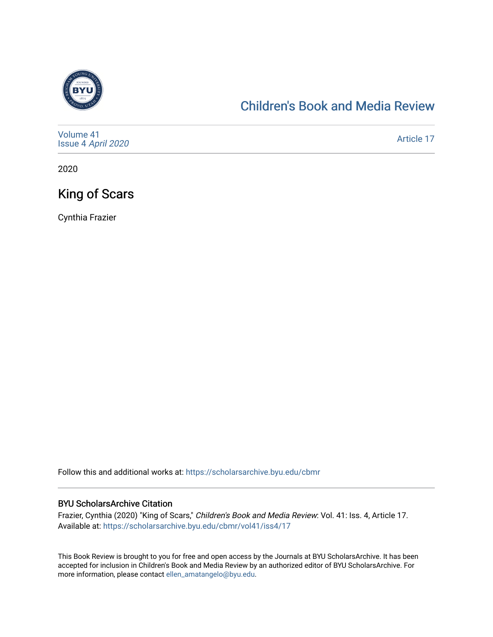

### [Children's Book and Media Review](https://scholarsarchive.byu.edu/cbmr)

| Volume 41<br>Issue 4 April 2020 | Article 17 |
|---------------------------------|------------|
|---------------------------------|------------|

2020

## King of Scars

Cynthia Frazier

Follow this and additional works at: [https://scholarsarchive.byu.edu/cbmr](https://scholarsarchive.byu.edu/cbmr?utm_source=scholarsarchive.byu.edu%2Fcbmr%2Fvol41%2Fiss4%2F17&utm_medium=PDF&utm_campaign=PDFCoverPages) 

#### BYU ScholarsArchive Citation

Frazier, Cynthia (2020) "King of Scars," Children's Book and Media Review: Vol. 41: Iss. 4, Article 17. Available at: [https://scholarsarchive.byu.edu/cbmr/vol41/iss4/17](https://scholarsarchive.byu.edu/cbmr/vol41/iss4/17?utm_source=scholarsarchive.byu.edu%2Fcbmr%2Fvol41%2Fiss4%2F17&utm_medium=PDF&utm_campaign=PDFCoverPages)

This Book Review is brought to you for free and open access by the Journals at BYU ScholarsArchive. It has been accepted for inclusion in Children's Book and Media Review by an authorized editor of BYU ScholarsArchive. For more information, please contact [ellen\\_amatangelo@byu.edu.](mailto:ellen_amatangelo@byu.edu)